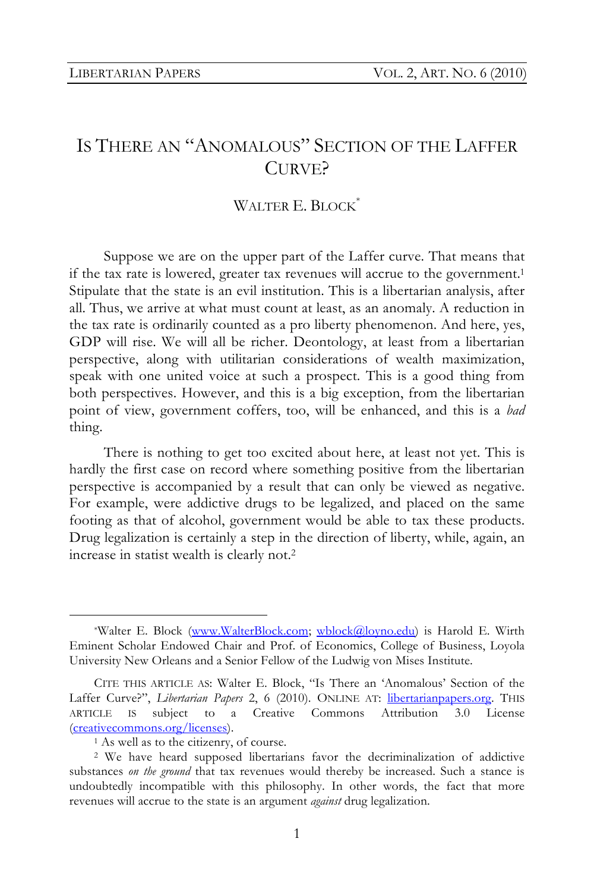# IS THERE AN "ANOMALOUS" SECTION OF THE LAFFER CURVE?

## WALTER E. BLOCK<sup>\*</sup>

Suppose we are on the upper part of the Laffer curve. That means that if the tax rate is lowered, greater tax revenues will accrue to the government.1 Stipulate that the state is an evil institution. This is a libertarian analysis, after all. Thus, we arrive at what must count at least, as an anomaly. A reduction in the tax rate is ordinarily counted as a pro liberty phenomenon. And here, yes, GDP will rise. We will all be richer. Deontology, at least from a libertarian perspective, along with utilitarian considerations of wealth maximization, speak with one united voice at such a prospect. This is a good thing from both perspectives. However, and this is a big exception, from the libertarian point of view, government coffers, too, will be enhanced, and this is a *bad* thing.

There is nothing to get too excited about here, at least not yet. This is hardly the first case on record where something positive from the libertarian perspective is accompanied by a result that can only be viewed as negative. For example, were addictive drugs to be legalized, and placed on the same footing as that of alcohol, government would be able to tax these products. Drug legalization is certainly a step in the direction of liberty, while, again, an increase in statist wealth is clearly not.2

 <sup>\*</sup>Walter E. Block (www.WalterBlock.com; wblock@loyno.edu) is Harold E. Wirth Eminent Scholar Endowed Chair and Prof. of Economics, College of Business, Loyola University New Orleans and a Senior Fellow of the Ludwig von Mises Institute.

CITE THIS ARTICLE AS: Walter E. Block, "Is There an 'Anomalous' Section of the Laffer Curve?", *Libertarian Papers* 2, 6 (2010). ONLINE AT: libertarianpapers.org. THIS ARTICLE IS subject to a Creative Commons Attribution 3.0 License (creativecommons.org/licenses).

<sup>&</sup>lt;sup>1</sup> As well as to the citizenry, of course.

<sup>2</sup> We have heard supposed libertarians favor the decriminalization of addictive substances *on the ground* that tax revenues would thereby be increased. Such a stance is undoubtedly incompatible with this philosophy. In other words, the fact that more revenues will accrue to the state is an argument *against* drug legalization.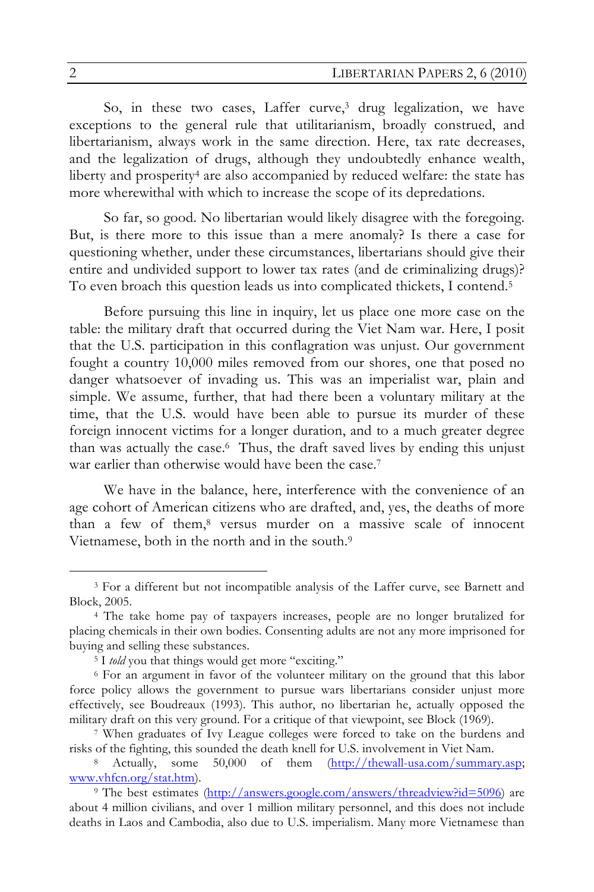So, in these two cases, Laffer curve,<sup>3</sup> drug legalization, we have exceptions to the general rule that utilitarianism, broadly construed, and libertarianism, always work in the same direction. Here, tax rate decreases, and the legalization of drugs, although they undoubtedly enhance wealth, liberty and prosperity<sup>4</sup> are also accompanied by reduced welfare: the state has more wherewithal with which to increase the scope of its depredations.

So far, so good. No libertarian would likely disagree with the foregoing. But, is there more to this issue than a mere anomaly? Is there a case for questioning whether, under these circumstances, libertarians should give their entire and undivided support to lower tax rates (and de criminalizing drugs)? To even broach this question leads us into complicated thickets, I contend.5

Before pursuing this line in inquiry, let us place one more case on the table: the military draft that occurred during the Viet Nam war. Here, I posit that the U.S. participation in this conflagration was unjust. Our government fought a country 10,000 miles removed from our shores, one that posed no danger whatsoever of invading us. This was an imperialist war, plain and simple. We assume, further, that had there been a voluntary military at the time, that the U.S. would have been able to pursue its murder of these foreign innocent victims for a longer duration, and to a much greater degree than was actually the case.6 Thus, the draft saved lives by ending this unjust war earlier than otherwise would have been the case.<sup>7</sup>

We have in the balance, here, interference with the convenience of an age cohort of American citizens who are drafted, and, yes, the deaths of more than a few of them,8 versus murder on a massive scale of innocent Vietnamese, both in the north and in the south.9

 <sup>3</sup> For a different but not incompatible analysis of the Laffer curve, see Barnett and Block, 2005.

<sup>4</sup> The take home pay of taxpayers increases, people are no longer brutalized for placing chemicals in their own bodies. Consenting adults are not any more imprisoned for buying and selling these substances.

<sup>&</sup>lt;sup>5</sup> I *told* you that things would get more "exciting."

<sup>6</sup> For an argument in favor of the volunteer military on the ground that this labor force policy allows the government to pursue wars libertarians consider unjust more effectively, see Boudreaux (1993). This author, no libertarian he, actually opposed the military draft on this very ground. For a critique of that viewpoint, see Block (1969).

<sup>7</sup> When graduates of Ivy League colleges were forced to take on the burdens and risks of the fighting, this sounded the death knell for U.S. involvement in Viet Nam.

<sup>8</sup> Actually, some 50,000 of them  $(\frac{http://thewall-usa.com/summary.asp;$ www.vhfcn.org/stat.htm).

<sup>&</sup>lt;sup>9</sup> The best estimates (http://answers.google.com/answers/threadview?id=5096) are about 4 million civilians, and over 1 million military personnel, and this does not include deaths in Laos and Cambodia, also due to U.S. imperialism. Many more Vietnamese than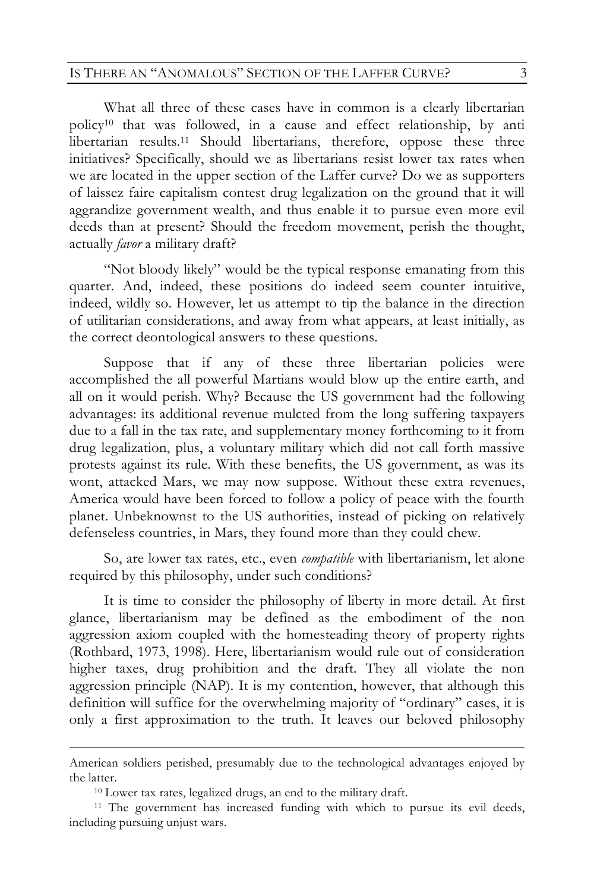### IS THERE AN "ANOMALOUS" SECTION OF THE LAFFER CURVE? 3

What all three of these cases have in common is a clearly libertarian policy10 that was followed, in a cause and effect relationship, by anti libertarian results.11 Should libertarians, therefore, oppose these three initiatives? Specifically, should we as libertarians resist lower tax rates when we are located in the upper section of the Laffer curve? Do we as supporters of laissez faire capitalism contest drug legalization on the ground that it will aggrandize government wealth, and thus enable it to pursue even more evil deeds than at present? Should the freedom movement, perish the thought, actually *favor* a military draft?

"Not bloody likely" would be the typical response emanating from this quarter. And, indeed, these positions do indeed seem counter intuitive, indeed, wildly so. However, let us attempt to tip the balance in the direction of utilitarian considerations, and away from what appears, at least initially, as the correct deontological answers to these questions.

Suppose that if any of these three libertarian policies were accomplished the all powerful Martians would blow up the entire earth, and all on it would perish. Why? Because the US government had the following advantages: its additional revenue mulcted from the long suffering taxpayers due to a fall in the tax rate, and supplementary money forthcoming to it from drug legalization, plus, a voluntary military which did not call forth massive protests against its rule. With these benefits, the US government, as was its wont, attacked Mars, we may now suppose. Without these extra revenues, America would have been forced to follow a policy of peace with the fourth planet. Unbeknownst to the US authorities, instead of picking on relatively defenseless countries, in Mars, they found more than they could chew.

So, are lower tax rates, etc., even *compatible* with libertarianism, let alone required by this philosophy, under such conditions?

It is time to consider the philosophy of liberty in more detail. At first glance, libertarianism may be defined as the embodiment of the non aggression axiom coupled with the homesteading theory of property rights (Rothbard, 1973, 1998). Here, libertarianism would rule out of consideration higher taxes, drug prohibition and the draft. They all violate the non aggression principle (NAP). It is my contention, however, that although this definition will suffice for the overwhelming majority of "ordinary" cases, it is only a first approximation to the truth. It leaves our beloved philosophy

American soldiers perished, presumably due to the technological advantages enjoyed by the latter.

<sup>10</sup> Lower tax rates, legalized drugs, an end to the military draft.

<sup>&</sup>lt;sup>11</sup> The government has increased funding with which to pursue its evil deeds, including pursuing unjust wars.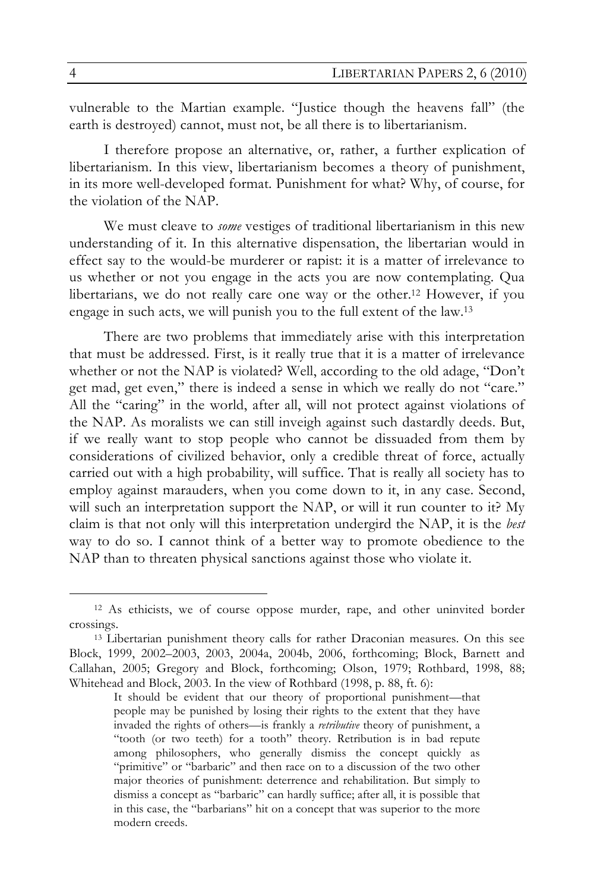vulnerable to the Martian example. "Justice though the heavens fall" (the earth is destroyed) cannot, must not, be all there is to libertarianism.

I therefore propose an alternative, or, rather, a further explication of libertarianism. In this view, libertarianism becomes a theory of punishment, in its more well-developed format. Punishment for what? Why, of course, for the violation of the NAP.

We must cleave to *some* vestiges of traditional libertarianism in this new understanding of it. In this alternative dispensation, the libertarian would in effect say to the would-be murderer or rapist: it is a matter of irrelevance to us whether or not you engage in the acts you are now contemplating. Qua libertarians, we do not really care one way or the other.12 However, if you engage in such acts, we will punish you to the full extent of the law.13

There are two problems that immediately arise with this interpretation that must be addressed. First, is it really true that it is a matter of irrelevance whether or not the NAP is violated? Well, according to the old adage, "Don't get mad, get even," there is indeed a sense in which we really do not "care." All the "caring" in the world, after all, will not protect against violations of the NAP. As moralists we can still inveigh against such dastardly deeds. But, if we really want to stop people who cannot be dissuaded from them by considerations of civilized behavior, only a credible threat of force, actually carried out with a high probability, will suffice. That is really all society has to employ against marauders, when you come down to it, in any case. Second, will such an interpretation support the NAP, or will it run counter to it? My claim is that not only will this interpretation undergird the NAP, it is the *best* way to do so. I cannot think of a better way to promote obedience to the NAP than to threaten physical sanctions against those who violate it.

 <sup>12</sup> As ethicists, we of course oppose murder, rape, and other uninvited border crossings.

<sup>13</sup> Libertarian punishment theory calls for rather Draconian measures. On this see Block, 1999, 2002–2003, 2003, 2004a, 2004b, 2006, forthcoming; Block, Barnett and Callahan, 2005; Gregory and Block, forthcoming; Olson, 1979; Rothbard, 1998, 88; Whitehead and Block, 2003. In the view of Rothbard (1998, p. 88, ft. 6):

It should be evident that our theory of proportional punishment—that people may be punished by losing their rights to the extent that they have invaded the rights of others—is frankly a *retributive* theory of punishment, a "tooth (or two teeth) for a tooth" theory. Retribution is in bad repute among philosophers, who generally dismiss the concept quickly as "primitive" or "barbaric" and then race on to a discussion of the two other major theories of punishment: deterrence and rehabilitation. But simply to dismiss a concept as "barbaric" can hardly suffice; after all, it is possible that in this case, the "barbarians" hit on a concept that was superior to the more modern creeds.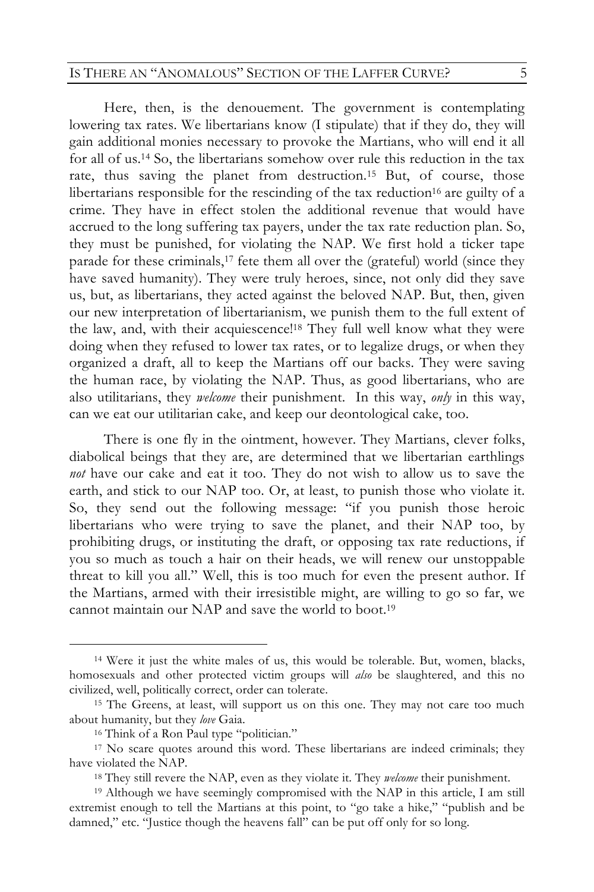#### IS THERE AN "ANOMALOUS" SECTION OF THE LAFFER CURVE?  $5$

Here, then, is the denouement. The government is contemplating lowering tax rates. We libertarians know (I stipulate) that if they do, they will gain additional monies necessary to provoke the Martians, who will end it all for all of us.14 So, the libertarians somehow over rule this reduction in the tax rate, thus saving the planet from destruction.<sup>15</sup> But, of course, those libertarians responsible for the rescinding of the tax reduction<sup>16</sup> are guilty of a crime. They have in effect stolen the additional revenue that would have accrued to the long suffering tax payers, under the tax rate reduction plan. So, they must be punished, for violating the NAP. We first hold a ticker tape parade for these criminals,<sup>17</sup> fete them all over the (grateful) world (since they have saved humanity). They were truly heroes, since, not only did they save us, but, as libertarians, they acted against the beloved NAP. But, then, given our new interpretation of libertarianism, we punish them to the full extent of the law, and, with their acquiescence!18 They full well know what they were doing when they refused to lower tax rates, or to legalize drugs, or when they organized a draft, all to keep the Martians off our backs. They were saving the human race, by violating the NAP. Thus, as good libertarians, who are also utilitarians, they *welcome* their punishment. In this way, *only* in this way, can we eat our utilitarian cake, and keep our deontological cake, too.

There is one fly in the ointment, however. They Martians, clever folks, diabolical beings that they are, are determined that we libertarian earthlings *not* have our cake and eat it too. They do not wish to allow us to save the earth, and stick to our NAP too. Or, at least, to punish those who violate it. So, they send out the following message: "if you punish those heroic libertarians who were trying to save the planet, and their NAP too, by prohibiting drugs, or instituting the draft, or opposing tax rate reductions, if you so much as touch a hair on their heads, we will renew our unstoppable threat to kill you all." Well, this is too much for even the present author. If the Martians, armed with their irresistible might, are willing to go so far, we cannot maintain our NAP and save the world to boot.19

 <sup>14</sup> Were it just the white males of us, this would be tolerable. But, women, blacks, homosexuals and other protected victim groups will *also* be slaughtered, and this no civilized, well, politically correct, order can tolerate.

<sup>15</sup> The Greens, at least, will support us on this one. They may not care too much about humanity, but they *love* Gaia.

<sup>16</sup> Think of a Ron Paul type "politician."

<sup>17</sup> No scare quotes around this word. These libertarians are indeed criminals; they have violated the NAP.

<sup>18</sup> They still revere the NAP, even as they violate it. They *welcome* their punishment.

<sup>19</sup> Although we have seemingly compromised with the NAP in this article, I am still extremist enough to tell the Martians at this point, to "go take a hike," "publish and be damned," etc. "Justice though the heavens fall" can be put off only for so long.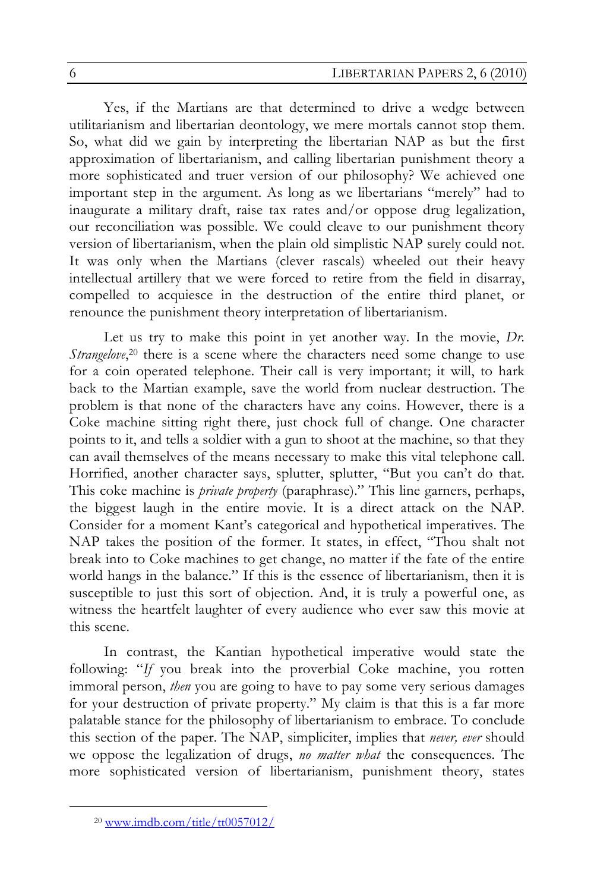Yes, if the Martians are that determined to drive a wedge between utilitarianism and libertarian deontology, we mere mortals cannot stop them. So, what did we gain by interpreting the libertarian NAP as but the first approximation of libertarianism, and calling libertarian punishment theory a more sophisticated and truer version of our philosophy? We achieved one important step in the argument. As long as we libertarians "merely" had to inaugurate a military draft, raise tax rates and/or oppose drug legalization, our reconciliation was possible. We could cleave to our punishment theory version of libertarianism, when the plain old simplistic NAP surely could not. It was only when the Martians (clever rascals) wheeled out their heavy intellectual artillery that we were forced to retire from the field in disarray, compelled to acquiesce in the destruction of the entire third planet, or renounce the punishment theory interpretation of libertarianism.

Let us try to make this point in yet another way. In the movie, *Dr. Strangelove*,<sup>20</sup> there is a scene where the characters need some change to use for a coin operated telephone. Their call is very important; it will, to hark back to the Martian example, save the world from nuclear destruction. The problem is that none of the characters have any coins. However, there is a Coke machine sitting right there, just chock full of change. One character points to it, and tells a soldier with a gun to shoot at the machine, so that they can avail themselves of the means necessary to make this vital telephone call. Horrified, another character says, splutter, splutter, "But you can't do that. This coke machine is *private property* (paraphrase)." This line garners, perhaps, the biggest laugh in the entire movie. It is a direct attack on the NAP. Consider for a moment Kant's categorical and hypothetical imperatives. The NAP takes the position of the former. It states, in effect, "Thou shalt not break into to Coke machines to get change, no matter if the fate of the entire world hangs in the balance." If this is the essence of libertarianism, then it is susceptible to just this sort of objection. And, it is truly a powerful one, as witness the heartfelt laughter of every audience who ever saw this movie at this scene.

In contrast, the Kantian hypothetical imperative would state the following: "*If* you break into the proverbial Coke machine, you rotten immoral person, *then* you are going to have to pay some very serious damages for your destruction of private property." My claim is that this is a far more palatable stance for the philosophy of libertarianism to embrace. To conclude this section of the paper. The NAP, simpliciter, implies that *never, ever* should we oppose the legalization of drugs, *no matter what* the consequences. The more sophisticated version of libertarianism, punishment theory, states

 <sup>20</sup> www.imdb.com/title/tt0057012/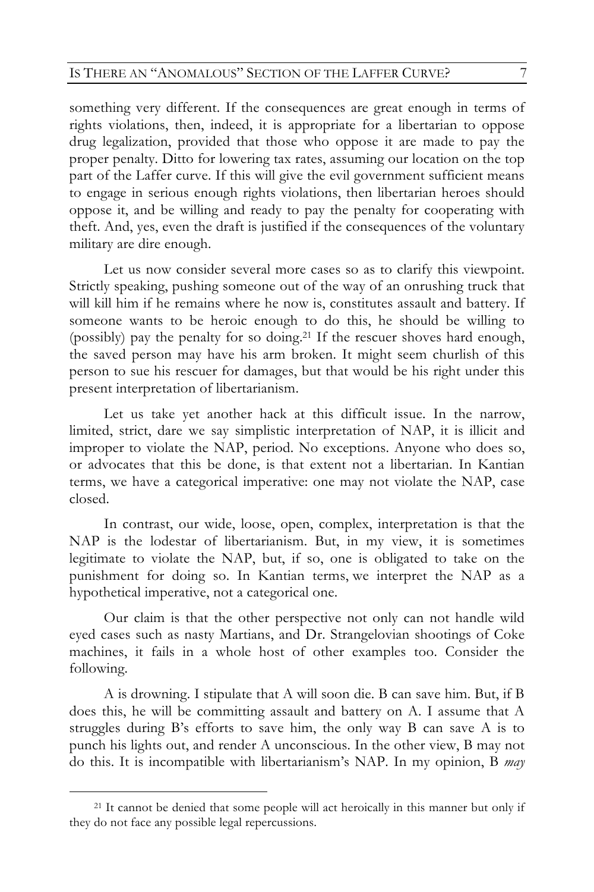something very different. If the consequences are great enough in terms of rights violations, then, indeed, it is appropriate for a libertarian to oppose drug legalization, provided that those who oppose it are made to pay the proper penalty. Ditto for lowering tax rates, assuming our location on the top part of the Laffer curve. If this will give the evil government sufficient means to engage in serious enough rights violations, then libertarian heroes should oppose it, and be willing and ready to pay the penalty for cooperating with theft. And, yes, even the draft is justified if the consequences of the voluntary military are dire enough.

Let us now consider several more cases so as to clarify this viewpoint. Strictly speaking, pushing someone out of the way of an onrushing truck that will kill him if he remains where he now is, constitutes assault and battery. If someone wants to be heroic enough to do this, he should be willing to (possibly) pay the penalty for so doing.21 If the rescuer shoves hard enough, the saved person may have his arm broken. It might seem churlish of this person to sue his rescuer for damages, but that would be his right under this present interpretation of libertarianism.

Let us take yet another hack at this difficult issue. In the narrow, limited, strict, dare we say simplistic interpretation of NAP, it is illicit and improper to violate the NAP, period. No exceptions. Anyone who does so, or advocates that this be done, is that extent not a libertarian. In Kantian terms, we have a categorical imperative: one may not violate the NAP, case closed.

In contrast, our wide, loose, open, complex, interpretation is that the NAP is the lodestar of libertarianism. But, in my view, it is sometimes legitimate to violate the NAP, but, if so, one is obligated to take on the punishment for doing so. In Kantian terms, we interpret the NAP as a hypothetical imperative, not a categorical one.

Our claim is that the other perspective not only can not handle wild eyed cases such as nasty Martians, and Dr. Strangelovian shootings of Coke machines, it fails in a whole host of other examples too. Consider the following.

A is drowning. I stipulate that A will soon die. B can save him. But, if B does this, he will be committing assault and battery on A. I assume that A struggles during B's efforts to save him, the only way B can save A is to punch his lights out, and render A unconscious. In the other view, B may not do this. It is incompatible with libertarianism's NAP. In my opinion, B *may*

 <sup>21</sup> It cannot be denied that some people will act heroically in this manner but only if they do not face any possible legal repercussions.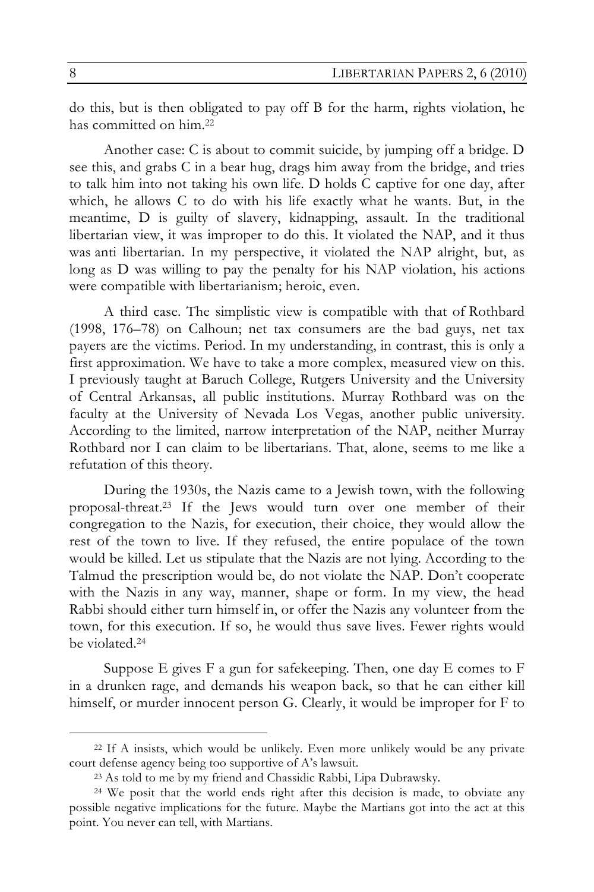do this, but is then obligated to pay off B for the harm, rights violation, he has committed on him.22

Another case: C is about to commit suicide, by jumping off a bridge. D see this, and grabs C in a bear hug, drags him away from the bridge, and tries to talk him into not taking his own life. D holds C captive for one day, after which, he allows C to do with his life exactly what he wants. But, in the meantime, D is guilty of slavery, kidnapping, assault. In the traditional libertarian view, it was improper to do this. It violated the NAP, and it thus was anti libertarian. In my perspective, it violated the NAP alright, but, as long as D was willing to pay the penalty for his NAP violation, his actions were compatible with libertarianism; heroic, even.

A third case. The simplistic view is compatible with that of Rothbard (1998, 176–78) on Calhoun; net tax consumers are the bad guys, net tax payers are the victims. Period. In my understanding, in contrast, this is only a first approximation. We have to take a more complex, measured view on this. I previously taught at Baruch College, Rutgers University and the University of Central Arkansas, all public institutions. Murray Rothbard was on the faculty at the University of Nevada Los Vegas, another public university. According to the limited, narrow interpretation of the NAP, neither Murray Rothbard nor I can claim to be libertarians. That, alone, seems to me like a refutation of this theory.

During the 1930s, the Nazis came to a Jewish town, with the following proposal-threat.23 If the Jews would turn over one member of their congregation to the Nazis, for execution, their choice, they would allow the rest of the town to live. If they refused, the entire populace of the town would be killed. Let us stipulate that the Nazis are not lying. According to the Talmud the prescription would be, do not violate the NAP. Don't cooperate with the Nazis in any way, manner, shape or form. In my view, the head Rabbi should either turn himself in, or offer the Nazis any volunteer from the town, for this execution. If so, he would thus save lives. Fewer rights would be violated.24

Suppose E gives F a gun for safekeeping. Then, one day E comes to F in a drunken rage, and demands his weapon back, so that he can either kill himself, or murder innocent person G. Clearly, it would be improper for F to

 <sup>22</sup> If A insists, which would be unlikely. Even more unlikely would be any private court defense agency being too supportive of A's lawsuit.

<sup>23</sup> As told to me by my friend and Chassidic Rabbi, Lipa Dubrawsky.

<sup>24</sup> We posit that the world ends right after this decision is made, to obviate any possible negative implications for the future. Maybe the Martians got into the act at this point. You never can tell, with Martians.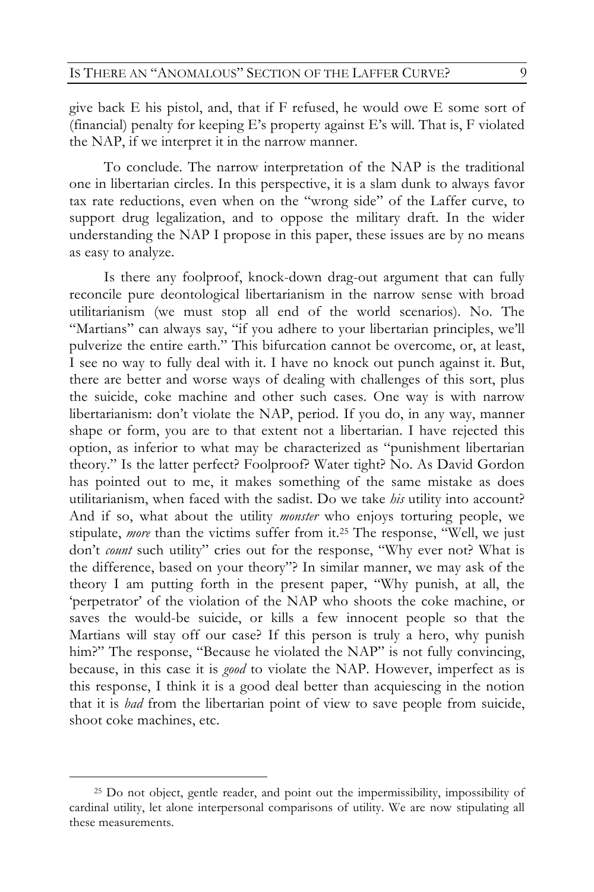give back E his pistol, and, that if F refused, he would owe E some sort of (financial) penalty for keeping E's property against E's will. That is, F violated the NAP, if we interpret it in the narrow manner.

To conclude. The narrow interpretation of the NAP is the traditional one in libertarian circles. In this perspective, it is a slam dunk to always favor tax rate reductions, even when on the "wrong side" of the Laffer curve, to support drug legalization, and to oppose the military draft. In the wider understanding the NAP I propose in this paper, these issues are by no means as easy to analyze.

Is there any foolproof, knock-down drag-out argument that can fully reconcile pure deontological libertarianism in the narrow sense with broad utilitarianism (we must stop all end of the world scenarios). No. The "Martians" can always say, "if you adhere to your libertarian principles, we'll pulverize the entire earth." This bifurcation cannot be overcome, or, at least, I see no way to fully deal with it. I have no knock out punch against it. But, there are better and worse ways of dealing with challenges of this sort, plus the suicide, coke machine and other such cases. One way is with narrow libertarianism: don't violate the NAP, period. If you do, in any way, manner shape or form, you are to that extent not a libertarian. I have rejected this option, as inferior to what may be characterized as "punishment libertarian theory." Is the latter perfect? Foolproof? Water tight? No. As David Gordon has pointed out to me, it makes something of the same mistake as does utilitarianism, when faced with the sadist. Do we take *his* utility into account? And if so, what about the utility *monster* who enjoys torturing people, we stipulate, *more* than the victims suffer from it.25 The response, "Well, we just don't *count* such utility" cries out for the response, "Why ever not? What is the difference, based on your theory"? In similar manner, we may ask of the theory I am putting forth in the present paper, "Why punish, at all, the 'perpetrator' of the violation of the NAP who shoots the coke machine, or saves the would-be suicide, or kills a few innocent people so that the Martians will stay off our case? If this person is truly a hero, why punish him?" The response, "Because he violated the NAP" is not fully convincing, because, in this case it is *good* to violate the NAP. However, imperfect as is this response, I think it is a good deal better than acquiescing in the notion that it is *bad* from the libertarian point of view to save people from suicide, shoot coke machines, etc.

 <sup>25</sup> Do not object, gentle reader, and point out the impermissibility, impossibility of cardinal utility, let alone interpersonal comparisons of utility. We are now stipulating all these measurements.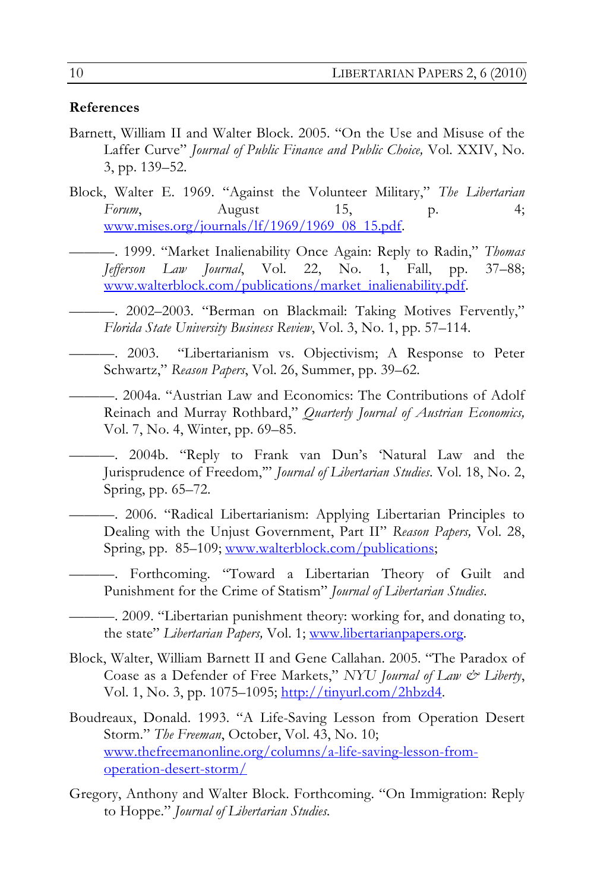#### **References**

- Barnett, William II and Walter Block. 2005. "On the Use and Misuse of the Laffer Curve" *Journal of Public Finance and Public Choice,* Vol. XXIV, No. 3, pp. 139–52.
- Block, Walter E. 1969. "Against the Volunteer Military," *The Libertarian Forum*, August 15, p. 4; www.mises.org/journals/lf/1969/1969\_08\_15.pdf.
	- ———. 1999. "Market Inalienability Once Again: Reply to Radin," *Thomas Jefferson Law Journal*, Vol. 22, No. 1, Fall, pp. 37–88; www.walterblock.com/publications/market\_inalienability.pdf.
		- ———. 2002–2003. "Berman on Blackmail: Taking Motives Fervently," *Florida State University Business Review*, Vol. 3, No. 1, pp. 57–114.
	- ———. 2003. "Libertarianism vs. Objectivism; A Response to Peter Schwartz," *Reason Papers*, Vol. 26, Summer, pp. 39–62.
	- ———. 2004a. "Austrian Law and Economics: The Contributions of Adolf Reinach and Murray Rothbard," *Quarterly Journal of Austrian Economics,* Vol. 7, No. 4, Winter, pp. 69–85.
	- ———. 2004b. "Reply to Frank van Dun's 'Natural Law and the Jurisprudence of Freedom,'" *Journal of Libertarian Studies*. Vol. 18, No. 2, Spring, pp. 65–72.
		- ———. 2006. "Radical Libertarianism: Applying Libertarian Principles to Dealing with the Unjust Government, Part II" *Reason Papers,* Vol. 28, Spring, pp. 85–109; www.walterblock.com/publications;
			- ———. Forthcoming. "Toward a Libertarian Theory of Guilt and Punishment for the Crime of Statism" *Journal of Libertarian Studies*.
		- ———. 2009. "Libertarian punishment theory: working for, and donating to, the state" *Libertarian Papers,* Vol. 1; www.libertarianpapers.org.
- Block, Walter, William Barnett II and Gene Callahan. 2005. "The Paradox of Coase as a Defender of Free Markets," *NYU Journal of Law & Liberty*, Vol. 1, No. 3, pp. 1075–1095; http://tinyurl.com/2hbzd4.
- Boudreaux, Donald. 1993. "A Life-Saving Lesson from Operation Desert Storm." *The Freeman*, October, Vol. 43, No. 10; www.thefreemanonline.org/columns/a-life-saving-lesson-fromoperation-desert-storm/
- Gregory, Anthony and Walter Block. Forthcoming. "On Immigration: Reply to Hoppe." *Journal of Libertarian Studies.*